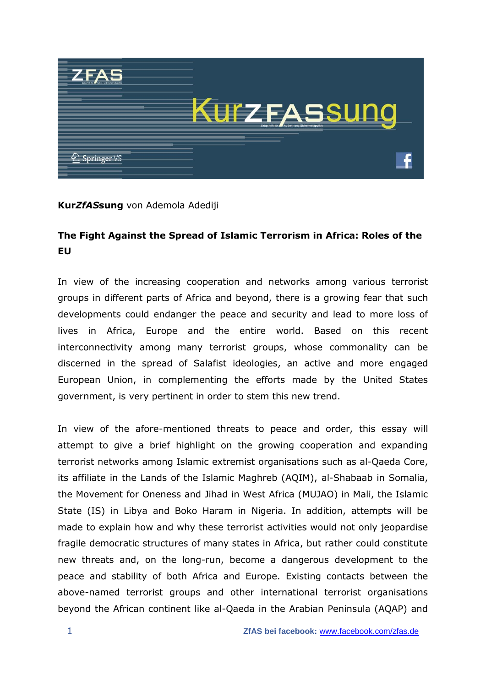

## **Kur***ZfAS***sung** von Ademola Adediji

## **The Fight Against the Spread of Islamic Terrorism in Africa: Roles of the EU**

In view of the increasing cooperation and networks among various terrorist groups in different parts of Africa and beyond, there is a growing fear that such developments could endanger the peace and security and lead to more loss of lives in Africa, Europe and the entire world. Based on this recent interconnectivity among many terrorist groups, whose commonality can be discerned in the spread of Salafist ideologies, an active and more engaged European Union, in complementing the efforts made by the United States government, is very pertinent in order to stem this new trend.

In view of the afore-mentioned threats to peace and order, this essay will attempt to give a brief highlight on the growing cooperation and expanding terrorist networks among Islamic extremist organisations such as al-Qaeda Core, its affiliate in the Lands of the Islamic Maghreb (AQIM), al-Shabaab in Somalia, the Movement for Oneness and Jihad in West Africa (MUJAO) in Mali, the Islamic State (IS) in Libya and Boko Haram in Nigeria. In addition, attempts will be made to explain how and why these terrorist activities would not only jeopardise fragile democratic structures of many states in Africa, but rather could constitute new threats and, on the long-run, become a dangerous development to the peace and stability of both Africa and Europe. Existing contacts between the above-named terrorist groups and other international terrorist organisations beyond the African continent like al-Qaeda in the Arabian Peninsula (AQAP) and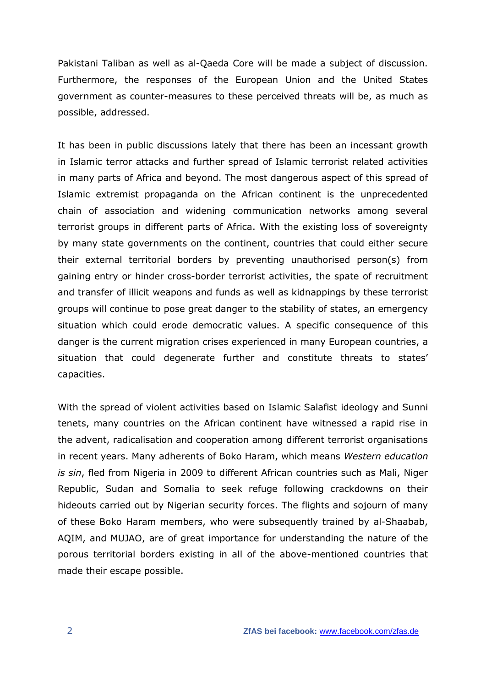Pakistani Taliban as well as al-Qaeda Core will be made a subject of discussion. Furthermore, the responses of the European Union and the United States government as counter-measures to these perceived threats will be, as much as possible, addressed.

It has been in public discussions lately that there has been an incessant growth in Islamic terror attacks and further spread of Islamic terrorist related activities in many parts of Africa and beyond. The most dangerous aspect of this spread of Islamic extremist propaganda on the African continent is the unprecedented chain of association and widening communication networks among several terrorist groups in different parts of Africa. With the existing loss of sovereignty by many state governments on the continent, countries that could either secure their external territorial borders by preventing unauthorised person(s) from gaining entry or hinder cross-border terrorist activities, the spate of recruitment and transfer of illicit weapons and funds as well as kidnappings by these terrorist groups will continue to pose great danger to the stability of states, an emergency situation which could erode democratic values. A specific consequence of this danger is the current migration crises experienced in many European countries, a situation that could degenerate further and constitute threats to states' capacities.

With the spread of violent activities based on Islamic Salafist ideology and Sunni tenets, many countries on the African continent have witnessed a rapid rise in the advent, radicalisation and cooperation among different terrorist organisations in recent years. Many adherents of Boko Haram, which means *Western education is sin*, fled from Nigeria in 2009 to different African countries such as Mali, Niger Republic, Sudan and Somalia to seek refuge following crackdowns on their hideouts carried out by Nigerian security forces. The flights and sojourn of many of these Boko Haram members, who were subsequently trained by al-Shaabab, AQIM, and MUJAO, are of great importance for understanding the nature of the porous territorial borders existing in all of the above-mentioned countries that made their escape possible.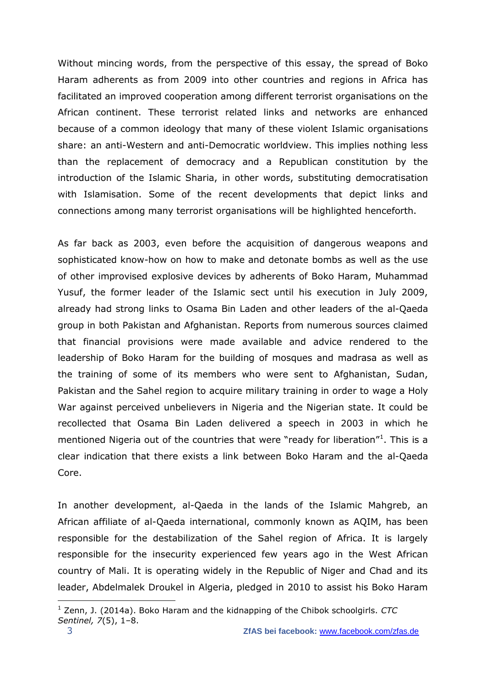Without mincing words, from the perspective of this essay, the spread of Boko Haram adherents as from 2009 into other countries and regions in Africa has facilitated an improved cooperation among different terrorist organisations on the African continent. These terrorist related links and networks are enhanced because of a common ideology that many of these violent Islamic organisations share: an anti-Western and anti-Democratic worldview. This implies nothing less than the replacement of democracy and a Republican constitution by the introduction of the Islamic Sharia, in other words, substituting democratisation with Islamisation. Some of the recent developments that depict links and connections among many terrorist organisations will be highlighted henceforth.

As far back as 2003, even before the acquisition of dangerous weapons and sophisticated know-how on how to make and detonate bombs as well as the use of other improvised explosive devices by adherents of Boko Haram, Muhammad Yusuf, the former leader of the Islamic sect until his execution in July 2009, already had strong links to Osama Bin Laden and other leaders of the al-Qaeda group in both Pakistan and Afghanistan. Reports from numerous sources claimed that financial provisions were made available and advice rendered to the leadership of Boko Haram for the building of mosques and madrasa as well as the training of some of its members who were sent to Afghanistan, Sudan, Pakistan and the Sahel region to acquire military training in order to wage a Holy War against perceived unbelievers in Nigeria and the Nigerian state. It could be recollected that Osama Bin Laden delivered a speech in 2003 in which he mentioned Nigeria out of the countries that were "ready for liberation"<sup>1</sup>. This is a clear indication that there exists a link between Boko Haram and the al-Qaeda Core.

In another development, al-Qaeda in the lands of the Islamic Mahgreb, an African affiliate of al-Qaeda international, commonly known as AQIM, has been responsible for the destabilization of the Sahel region of Africa. It is largely responsible for the insecurity experienced few years ago in the West African country of Mali. It is operating widely in the Republic of Niger and Chad and its leader, Abdelmalek Droukel in Algeria, pledged in 2010 to assist his Boko Haram

1

<sup>1</sup> Zenn, J. (2014a). Boko Haram and the kidnapping of the Chibok schoolgirls. *CTC Sentinel, 7*(5), 1–8.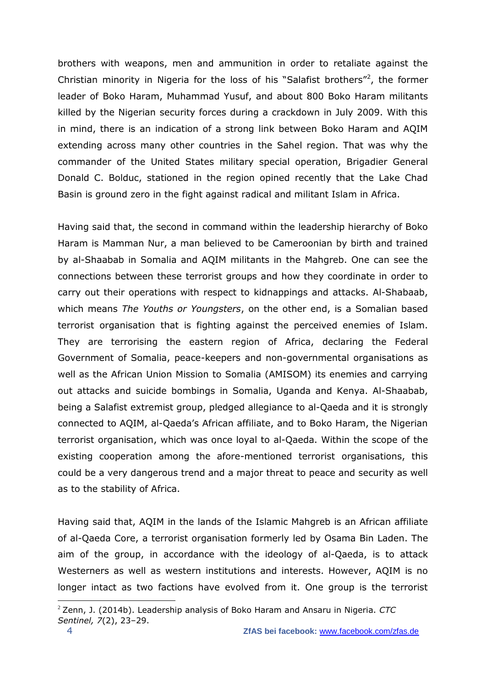brothers with weapons, men and ammunition in order to retaliate against the Christian minority in Nigeria for the loss of his "Salafist brothers"<sup>2</sup>, the former leader of Boko Haram, Muhammad Yusuf, and about 800 Boko Haram militants killed by the Nigerian security forces during a crackdown in July 2009. With this in mind, there is an indication of a strong link between Boko Haram and AQIM extending across many other countries in the Sahel region. That was why the commander of the United States military special operation, Brigadier General Donald C. Bolduc, stationed in the region opined recently that the Lake Chad Basin is ground zero in the fight against radical and militant Islam in Africa.

Having said that, the second in command within the leadership hierarchy of Boko Haram is Mamman Nur, a man believed to be Cameroonian by birth and trained by al-Shaabab in Somalia and AQIM militants in the Mahgreb. One can see the connections between these terrorist groups and how they coordinate in order to carry out their operations with respect to kidnappings and attacks. Al-Shabaab, which means *The Youths or Youngsters*, on the other end, is a Somalian based terrorist organisation that is fighting against the perceived enemies of Islam. They are terrorising the eastern region of Africa, declaring the Federal Government of Somalia, peace-keepers and non-governmental organisations as well as the African Union Mission to Somalia (AMISOM) its enemies and carrying out attacks and suicide bombings in Somalia, Uganda and Kenya. Al-Shaabab, being a Salafist extremist group, pledged allegiance to al-Qaeda and it is strongly connected to AQIM, al-Qaeda's African affiliate, and to Boko Haram, the Nigerian terrorist organisation, which was once loyal to al-Qaeda. Within the scope of the existing cooperation among the afore-mentioned terrorist organisations, this could be a very dangerous trend and a major threat to peace and security as well as to the stability of Africa.

Having said that, AQIM in the lands of the Islamic Mahgreb is an African affiliate of al-Qaeda Core, a terrorist organisation formerly led by Osama Bin Laden. The aim of the group, in accordance with the ideology of al-Qaeda, is to attack Westerners as well as western institutions and interests. However, AQIM is no longer intact as two factions have evolved from it. One group is the terrorist

1

<sup>2</sup> Zenn, J. (2014b). Leadership analysis of Boko Haram and Ansaru in Nigeria. *CTC Sentinel, 7*(2), 23–29.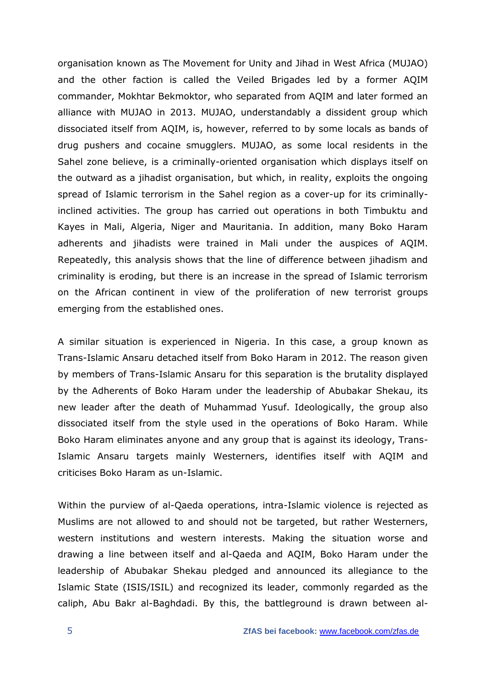organisation known as The Movement for Unity and Jihad in West Africa (MUJAO) and the other faction is called the Veiled Brigades led by a former AQIM commander, Mokhtar Bekmoktor, who separated from AQIM and later formed an alliance with MUJAO in 2013. MUJAO, understandably a dissident group which dissociated itself from AQIM, is, however, referred to by some locals as bands of drug pushers and cocaine smugglers. MUJAO, as some local residents in the Sahel zone believe, is a criminally-oriented organisation which displays itself on the outward as a jihadist organisation, but which, in reality, exploits the ongoing spread of Islamic terrorism in the Sahel region as a cover-up for its criminallyinclined activities. The group has carried out operations in both Timbuktu and Kayes in Mali, Algeria, Niger and Mauritania. In addition, many Boko Haram adherents and jihadists were trained in Mali under the auspices of AQIM. Repeatedly, this analysis shows that the line of difference between jihadism and criminality is eroding, but there is an increase in the spread of Islamic terrorism on the African continent in view of the proliferation of new terrorist groups emerging from the established ones.

A similar situation is experienced in Nigeria. In this case, a group known as Trans-Islamic Ansaru detached itself from Boko Haram in 2012. The reason given by members of Trans-Islamic Ansaru for this separation is the brutality displayed by the Adherents of Boko Haram under the leadership of Abubakar Shekau, its new leader after the death of Muhammad Yusuf. Ideologically, the group also dissociated itself from the style used in the operations of Boko Haram. While Boko Haram eliminates anyone and any group that is against its ideology, Trans-Islamic Ansaru targets mainly Westerners, identifies itself with AQIM and criticises Boko Haram as un-Islamic.

Within the purview of al-Qaeda operations, intra-Islamic violence is rejected as Muslims are not allowed to and should not be targeted, but rather Westerners, western institutions and western interests. Making the situation worse and drawing a line between itself and al-Qaeda and AQIM, Boko Haram under the leadership of Abubakar Shekau pledged and announced its allegiance to the Islamic State (ISIS/ISIL) and recognized its leader, commonly regarded as the caliph, Abu Bakr al-Baghdadi. By this, the battleground is drawn between al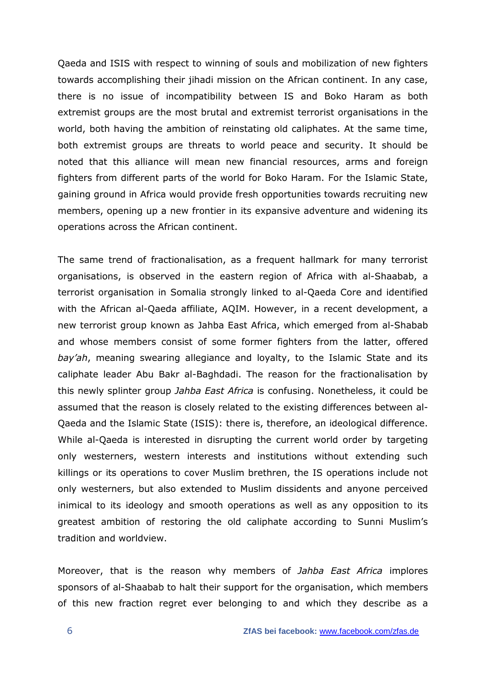Qaeda and ISIS with respect to winning of souls and mobilization of new fighters towards accomplishing their jihadi mission on the African continent. In any case, there is no issue of incompatibility between IS and Boko Haram as both extremist groups are the most brutal and extremist terrorist organisations in the world, both having the ambition of reinstating old caliphates. At the same time, both extremist groups are threats to world peace and security. It should be noted that this alliance will mean new financial resources, arms and foreign fighters from different parts of the world for Boko Haram. For the Islamic State, gaining ground in Africa would provide fresh opportunities towards recruiting new members, opening up a new frontier in its expansive adventure and widening its operations across the African continent.

The same trend of fractionalisation, as a frequent hallmark for many terrorist organisations, is observed in the eastern region of Africa with al-Shaabab, a terrorist organisation in Somalia strongly linked to al-Qaeda Core and identified with the African al-Qaeda affiliate, AQIM. However, in a recent development, a new terrorist group known as Jahba East Africa, which emerged from al-Shabab and whose members consist of some former fighters from the latter, offered *bay'ah*, meaning swearing allegiance and loyalty, to the Islamic State and its caliphate leader Abu Bakr al-Baghdadi. The reason for the fractionalisation by this newly splinter group *Jahba East Africa* is confusing. Nonetheless, it could be assumed that the reason is closely related to the existing differences between al-Qaeda and the Islamic State (ISIS): there is, therefore, an ideological difference. While al-Qaeda is interested in disrupting the current world order by targeting only westerners, western interests and institutions without extending such killings or its operations to cover Muslim brethren, the IS operations include not only westerners, but also extended to Muslim dissidents and anyone perceived inimical to its ideology and smooth operations as well as any opposition to its greatest ambition of restoring the old caliphate according to Sunni Muslim's tradition and worldview.

Moreover, that is the reason why members of *Jahba East Africa* implores sponsors of al-Shaabab to halt their support for the organisation, which members of this new fraction regret ever belonging to and which they describe as a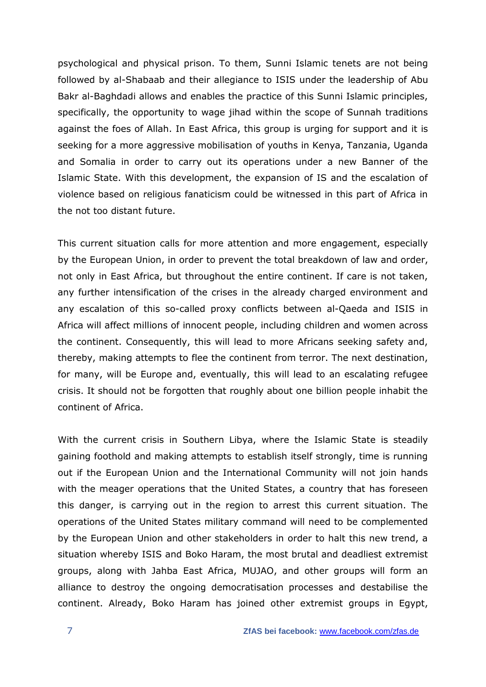psychological and physical prison. To them, Sunni Islamic tenets are not being followed by al-Shabaab and their allegiance to ISIS under the leadership of Abu Bakr al-Baghdadi allows and enables the practice of this Sunni Islamic principles, specifically, the opportunity to wage jihad within the scope of Sunnah traditions against the foes of Allah. In East Africa, this group is urging for support and it is seeking for a more aggressive mobilisation of youths in Kenya, Tanzania, Uganda and Somalia in order to carry out its operations under a new Banner of the Islamic State. With this development, the expansion of IS and the escalation of violence based on religious fanaticism could be witnessed in this part of Africa in the not too distant future.

This current situation calls for more attention and more engagement, especially by the European Union, in order to prevent the total breakdown of law and order, not only in East Africa, but throughout the entire continent. If care is not taken, any further intensification of the crises in the already charged environment and any escalation of this so-called proxy conflicts between al-Qaeda and ISIS in Africa will affect millions of innocent people, including children and women across the continent. Consequently, this will lead to more Africans seeking safety and, thereby, making attempts to flee the continent from terror. The next destination, for many, will be Europe and, eventually, this will lead to an escalating refugee crisis. It should not be forgotten that roughly about one billion people inhabit the continent of Africa.

With the current crisis in Southern Libya, where the Islamic State is steadily gaining foothold and making attempts to establish itself strongly, time is running out if the European Union and the International Community will not join hands with the meager operations that the United States, a country that has foreseen this danger, is carrying out in the region to arrest this current situation. The operations of the United States military command will need to be complemented by the European Union and other stakeholders in order to halt this new trend, a situation whereby ISIS and Boko Haram, the most brutal and deadliest extremist groups, along with Jahba East Africa, MUJAO, and other groups will form an alliance to destroy the ongoing democratisation processes and destabilise the continent. Already, Boko Haram has joined other extremist groups in Egypt,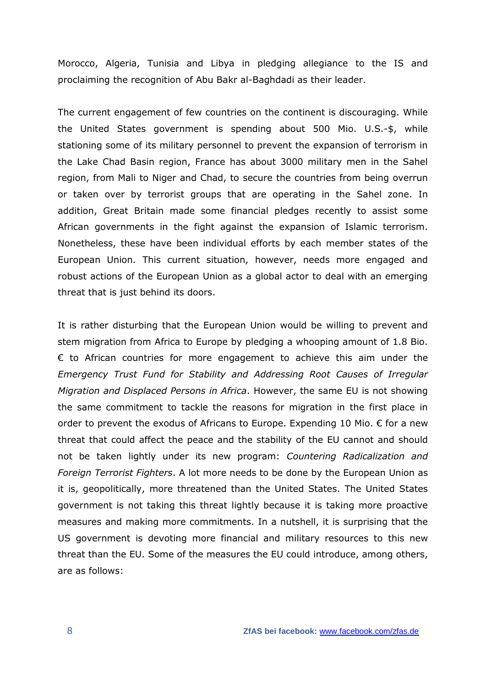Morocco, Algeria, Tunisia and Libya in pledging allegiance to the IS and proclaiming the recognition of Abu Bakr al-Baghdadi as their leader.

The current engagement of few countries on the continent is discouraging. While the United States government is spending about 500 Mio. U.S.-\$, while stationing some of its military personnel to prevent the expansion of terrorism in the Lake Chad Basin region, France has about 3000 military men in the Sahel region, from Mali to Niger and Chad, to secure the countries from being overrun or taken over by terrorist groups that are operating in the Sahel zone. In addition, Great Britain made some financial pledges recently to assist some African governments in the fight against the expansion of Islamic terrorism. Nonetheless, these have been individual efforts by each member states of the European Union. This current situation, however, needs more engaged and robust actions of the European Union as a global actor to deal with an emerging threat that is just behind its doors.

It is rather disturbing that the European Union would be willing to prevent and stem migration from Africa to Europe by pledging a whooping amount of 1.8 Bio.  $\epsilon$  to African countries for more engagement to achieve this aim under the *Emergency Trust Fund for Stability and Addressing Root Causes of Irregular Migration and Displaced Persons in Africa*. However, the same EU is not showing the same commitment to tackle the reasons for migration in the first place in order to prevent the exodus of Africans to Europe. Expending 10 Mio. € for a new threat that could affect the peace and the stability of the EU cannot and should not be taken lightly under its new program: *Countering Radicalization and Foreign Terrorist Fighters*. A lot more needs to be done by the European Union as it is, geopolitically, more threatened than the United States. The United States government is not taking this threat lightly because it is taking more proactive measures and making more commitments. In a nutshell, it is surprising that the US government is devoting more financial and military resources to this new threat than the EU. Some of the measures the EU could introduce, among others, are as follows: